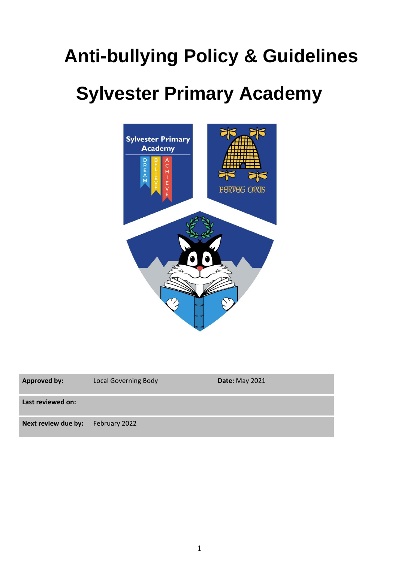# **Anti-bullying Policy & Guidelines**

## **Sylvester Primary Academy**



| <b>Approved by:</b> | <b>Local Governing Body</b> | <b>Date: May 2021</b> |
|---------------------|-----------------------------|-----------------------|
| Last reviewed on:   |                             |                       |
| Next review due by: | February 2022               |                       |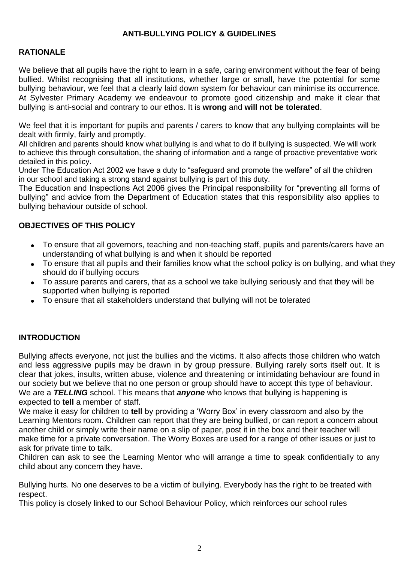## **ANTI-BULLYING POLICY & GUIDELINES**

#### **RATIONALE**

We believe that all pupils have the right to learn in a safe, caring environment without the fear of being bullied. Whilst recognising that all institutions, whether large or small, have the potential for some bullying behaviour, we feel that a clearly laid down system for behaviour can minimise its occurrence. At Sylvester Primary Academy we endeavour to promote good citizenship and make it clear that bullying is anti-social and contrary to our ethos. It is **wrong** and **will not be tolerated**.

We feel that it is important for pupils and parents / carers to know that any bullying complaints will be dealt with firmly, fairly and promptly.

All children and parents should know what bullying is and what to do if bullying is suspected. We will work to achieve this through consultation, the sharing of information and a range of proactive preventative work detailed in this policy.

Under The Education Act 2002 we have a duty to "safeguard and promote the welfare" of all the children in our school and taking a strong stand against bullying is part of this duty.

The Education and Inspections Act 2006 gives the Principal responsibility for "preventing all forms of bullying" and advice from the Department of Education states that this responsibility also applies to bullying behaviour outside of school.

#### **OBJECTIVES OF THIS POLICY**

- To ensure that all governors, teaching and non-teaching staff, pupils and parents/carers have an understanding of what bullying is and when it should be reported
- To ensure that all pupils and their families know what the school policy is on bullying, and what they should do if bullying occurs
- To assure parents and carers, that as a school we take bullying seriously and that they will be supported when bullying is reported
- To ensure that all stakeholders understand that bullying will not be tolerated

## **INTRODUCTION**

Bullying affects everyone, not just the bullies and the victims. It also affects those children who watch and less aggressive pupils may be drawn in by group pressure. Bullying rarely sorts itself out. It is clear that jokes, insults, written abuse, violence and threatening or intimidating behaviour are found in our society but we believe that no one person or group should have to accept this type of behaviour. We are a *TELLING* school. This means that *anyone* who knows that bullying is happening is expected to **tell** a member of staff.

We make it easy for children to **tell** by providing a 'Worry Box' in every classroom and also by the Learning Mentors room. Children can report that they are being bullied, or can report a concern about another child or simply write their name on a slip of paper, post it in the box and their teacher will make time for a private conversation. The Worry Boxes are used for a range of other issues or just to ask for private time to talk.

Children can ask to see the Learning Mentor who will arrange a time to speak confidentially to any child about any concern they have.

Bullying hurts. No one deserves to be a victim of bullying. Everybody has the right to be treated with respect.

This policy is closely linked to our School Behaviour Policy, which reinforces our school rules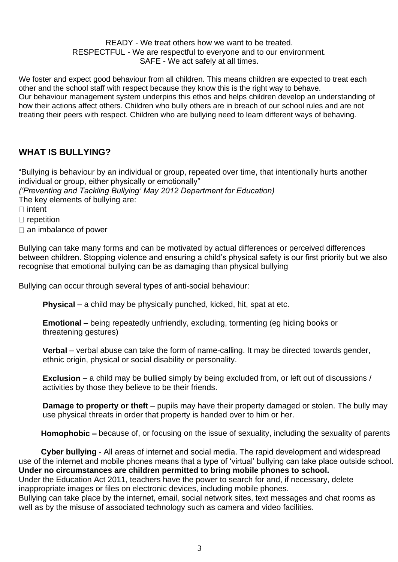READY - We treat others how we want to be treated. RESPECTFUL - We are respectful to everyone and to our environment. SAFE - We act safely at all times.

We foster and expect good behaviour from all children. This means children are expected to treat each other and the school staff with respect because they know this is the right way to behave. Our behaviour management system underpins this ethos and helps children develop an understanding of how their actions affect others. Children who bully others are in breach of our school rules and are not treating their peers with respect. Children who are bullying need to learn different ways of behaving.

## **WHAT IS BULLYING?**

"Bullying is behaviour by an individual or group, repeated over time, that intentionally hurts another individual or group, either physically or emotionally"

*('Preventing and Tackling Bullying' May 2012 Department for Education)* 

The key elements of bullying are:

 $\Box$  intent

 $\Box$  repetition

 $\square$  an imbalance of power

Bullying can take many forms and can be motivated by actual differences or perceived differences between children. Stopping violence and ensuring a child's physical safety is our first priority but we also recognise that emotional bullying can be as damaging than physical bullying

Bullying can occur through several types of anti-social behaviour:

**Physical** – a child may be physically punched, kicked, hit, spat at etc.

• **Emotional** – being repeatedly unfriendly, excluding, tormenting (eg hiding books or • threatening gestures)

• **Verbal** – verbal abuse can take the form of name-calling. It may be directed towards gender, ethnic origin, physical or social disability or personality.

**Exclusion** – a child may be bullied simply by being excluded from, or left out of discussions / activities by those they believe to be their friends.

• **Damage to property or theft** – pupils may have their property damaged or stolen. The bully may use physical threats in order that property is handed over to him or her.

**Homophobic –** because of, or focusing on the issue of sexuality, including the sexuality of parents

 **Cyber bullying** - All areas of internet and social media. The rapid development and widespread use of the internet and mobile phones means that a type of 'virtual' bullying can take place outside school. **Under no circumstances are children permitted to bring mobile phones to school.**  Under the Education Act 2011, teachers have the power to search for and, if necessary, delete

inappropriate images or files on electronic devices, including mobile phones. Bullying can take place by the internet, email, social network sites, text messages and chat rooms as

well as by the misuse of associated technology such as camera and video facilities.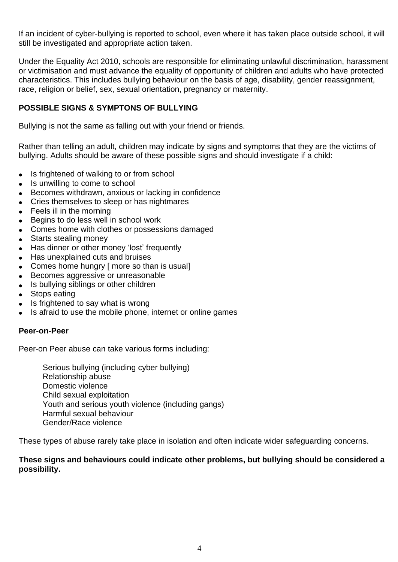If an incident of cyber-bullying is reported to school, even where it has taken place outside school, it will still be investigated and appropriate action taken.

Under the Equality Act 2010, schools are responsible for eliminating unlawful discrimination, harassment or victimisation and must advance the equality of opportunity of children and adults who have protected characteristics. This includes bullying behaviour on the basis of age, disability, gender reassignment, race, religion or belief, sex, sexual orientation, pregnancy or maternity.

#### **POSSIBLE SIGNS & SYMPTONS OF BULLYING**

Bullying is not the same as falling out with your friend or friends.

Rather than telling an adult, children may indicate by signs and symptoms that they are the victims of bullying. Adults should be aware of these possible signs and should investigate if a child:

- Is frightened of walking to or from school
- Is unwilling to come to school
- Becomes withdrawn, anxious or lacking in confidence
- Cries themselves to sleep or has nightmares
- Feels ill in the morning
- Begins to do less well in school work
- Comes home with clothes or possessions damaged
- Starts stealing money
- Has dinner or other money 'lost' frequently
- Has unexplained cuts and bruises
- Comes home hungry [ more so than is usual]
- Becomes aggressive or unreasonable
- Is bullying siblings or other children
- Stops eating
- Is frightened to say what is wrong
- Is afraid to use the mobile phone, internet or online games

#### **Peer-on-Peer**

Peer-on Peer abuse can take various forms including:

Serious bullying (including cyber bullying) • Relationship abuse Domestic violence • Child sexual exploitation Youth and serious youth violence (including gangs) • Harmful sexual behaviour Gender/Race violence

These types of abuse rarely take place in isolation and often indicate wider safeguarding concerns.

#### **These signs and behaviours could indicate other problems, but bullying should be considered a possibility.**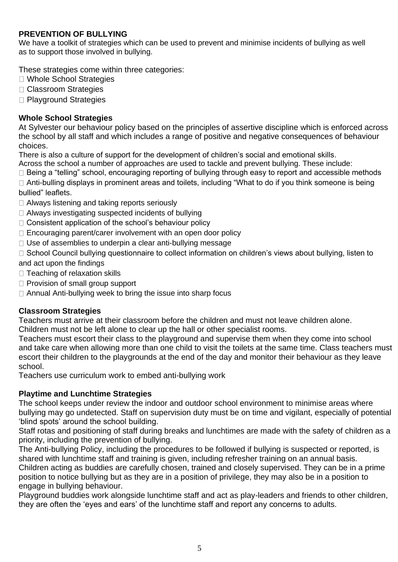## **PREVENTION OF BULLYING**

We have a toolkit of strategies which can be used to prevent and minimise incidents of bullying as well as to support those involved in bullying.

These strategies come within three categories:

- □ Whole School Strategies
- □ Classroom Strategies
- □ Playground Strategies

## **Whole School Strategies**

At Sylvester our behaviour policy based on the principles of assertive discipline which is enforced across the school by all staff and which includes a range of positive and negative consequences of behaviour choices.

There is also a culture of support for the development of children's social and emotional skills.

Across the school a number of approaches are used to tackle and prevent bullying. These include:

□ Being a "telling" school, encouraging reporting of bullying through easy to report and accessible methods □ Anti-bulling displays in prominent areas and toilets, including "What to do if you think someone is being bullied" leaflets.

- □ Always listening and taking reports seriously
- $\Box$  Always investigating suspected incidents of bullying
- $\Box$  Consistent application of the school's behaviour policy
- $\Box$  Encouraging parent/carer involvement with an open door policy
- $\Box$  Use of assemblies to underpin a clear anti-bullying message

□ School Council bullying questionnaire to collect information on children's views about bullying, listen to and act upon the findings

- $\Box$  Teaching of relaxation skills
- $\Box$  Provision of small group support
- □ Annual Anti-bullying week to bring the issue into sharp focus

## **Classroom Strategies**

Teachers must arrive at their classroom before the children and must not leave children alone.

Children must not be left alone to clear up the hall or other specialist rooms.

Teachers must escort their class to the playground and supervise them when they come into school and take care when allowing more than one child to visit the toilets at the same time. Class teachers must escort their children to the playgrounds at the end of the day and monitor their behaviour as they leave school.

Teachers use curriculum work to embed anti-bullying work

## **Playtime and Lunchtime Strategies**

The school keeps under review the indoor and outdoor school environment to minimise areas where bullying may go undetected. Staff on supervision duty must be on time and vigilant, especially of potential 'blind spots' around the school building.

Staff rotas and positioning of staff during breaks and lunchtimes are made with the safety of children as a priority, including the prevention of bullying.

The Anti-bullying Policy, including the procedures to be followed if bullying is suspected or reported, is shared with lunchtime staff and training is given, including refresher training on an annual basis. Children acting as buddies are carefully chosen, trained and closely supervised. They can be in a prime position to notice bullying but as they are in a position of privilege, they may also be in a position to engage in bullying behaviour.

Playground buddies work alongside lunchtime staff and act as play-leaders and friends to other children, they are often the 'eyes and ears' of the lunchtime staff and report any concerns to adults.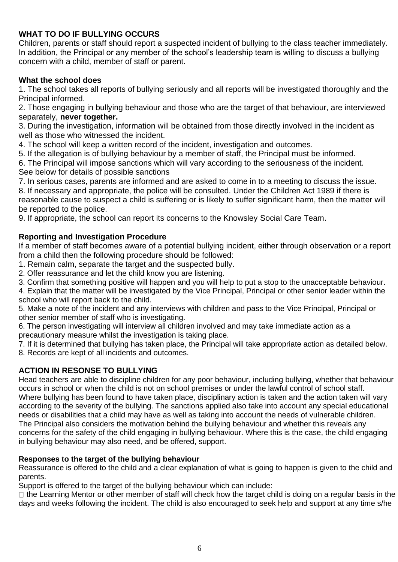## **WHAT TO DO IF BULLYING OCCURS**

Children, parents or staff should report a suspected incident of bullying to the class teacher immediately. In addition, the Principal or any member of the school's leadership team is willing to discuss a bullying concern with a child, member of staff or parent.

#### **What the school does**

1. The school takes all reports of bullying seriously and all reports will be investigated thoroughly and the Principal informed.

2. Those engaging in bullying behaviour and those who are the target of that behaviour, are interviewed separately, **never together.** 

3. During the investigation, information will be obtained from those directly involved in the incident as well as those who witnessed the incident.

4. The school will keep a written record of the incident, investigation and outcomes.

5. If the allegation is of bullying behaviour by a member of staff, the Principal must be informed.

6. The Principal will impose sanctions which will vary according to the seriousness of the incident. See below for details of possible sanctions

7. In serious cases, parents are informed and are asked to come in to a meeting to discuss the issue.

8. If necessary and appropriate, the police will be consulted. Under the Children Act 1989 if there is reasonable cause to suspect a child is suffering or is likely to suffer significant harm, then the matter will be reported to the police.

9. If appropriate, the school can report its concerns to the Knowsley Social Care Team.

## **Reporting and Investigation Procedure**

If a member of staff becomes aware of a potential bullying incident, either through observation or a report from a child then the following procedure should be followed:

1. Remain calm, separate the target and the suspected bully.

2. Offer reassurance and let the child know you are listening.

3. Confirm that something positive will happen and you will help to put a stop to the unacceptable behaviour.

4. Explain that the matter will be investigated by the Vice Principal, Principal or other senior leader within the school who will report back to the child.

5. Make a note of the incident and any interviews with children and pass to the Vice Principal, Principal or other senior member of staff who is investigating.

6. The person investigating will interview all children involved and may take immediate action as a precautionary measure whilst the investigation is taking place.

7. If it is determined that bullying has taken place, the Principal will take appropriate action as detailed below. 8. Records are kept of all incidents and outcomes.

## **ACTION IN RESONSE TO BULLYING**

Head teachers are able to discipline children for any poor behaviour, including bullying, whether that behaviour occurs in school or when the child is not on school premises or under the lawful control of school staff. Where bullying has been found to have taken place, disciplinary action is taken and the action taken will vary according to the severity of the bullying. The sanctions applied also take into account any special educational needs or disabilities that a child may have as well as taking into account the needs of vulnerable children. The Principal also considers the motivation behind the bullying behaviour and whether this reveals any concerns for the safety of the child engaging in bullying behaviour. Where this is the case, the child engaging in bullying behaviour may also need, and be offered, support.

#### **Responses to the target of the bullying behaviour**

Reassurance is offered to the child and a clear explanation of what is going to happen is given to the child and parents.

Support is offered to the target of the bullying behaviour which can include:

 $\Box$  the Learning Mentor or other member of staff will check how the target child is doing on a regular basis in the days and weeks following the incident. The child is also encouraged to seek help and support at any time s/he